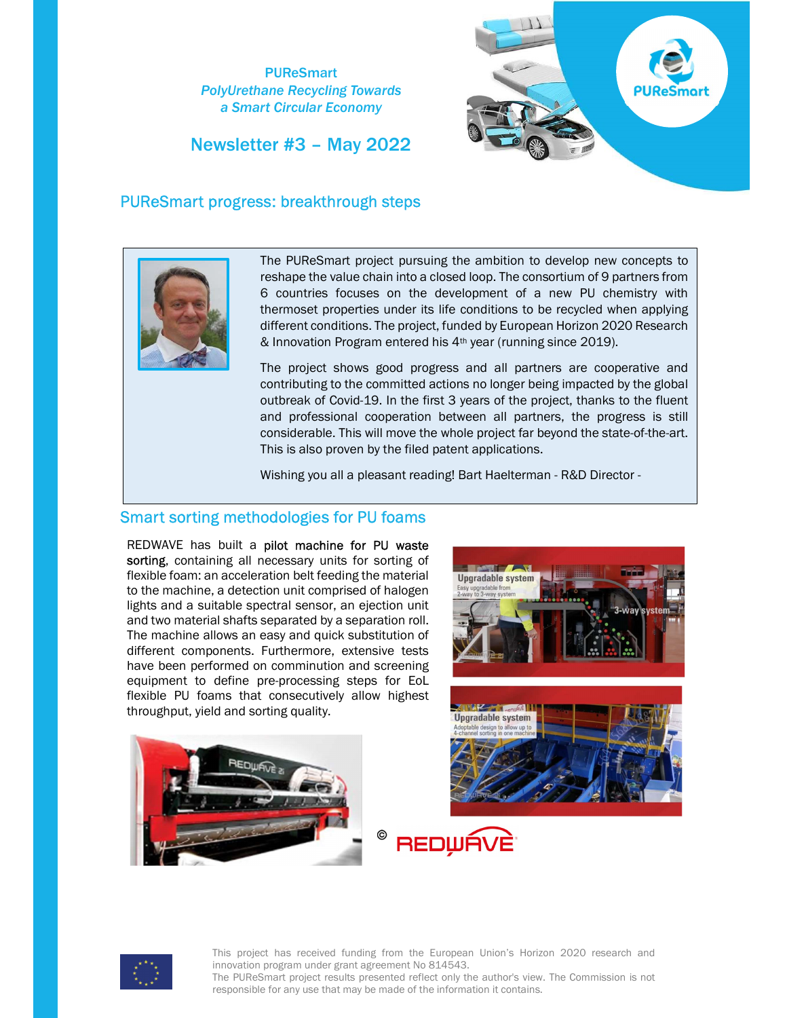PUReSmart PolyUrethane Recycling Towards a Smart Circular Economy

Newsletter #3 – May 2022



## PUReSmart progress: breakthrough steps



The PUReSmart project pursuing the ambition to develop new concepts to reshape the value chain into a closed loop. The consortium of 9 partners from 6 countries focuses on the development of a new PU chemistry with thermoset properties under its life conditions to be recycled when applying different conditions. The project, funded by European Horizon 2020 Research & Innovation Program entered his 4th year (running since 2019).

The project shows good progress and all partners are cooperative and contributing to the committed actions no longer being impacted by the global outbreak of Covid-19. In the first 3 years of the project, thanks to the fluent and professional cooperation between all partners, the progress is still considerable. This will move the whole project far beyond the state-of-the-art. This is also proven by the filed patent applications.

Wishing you all a pleasant reading! Bart Haelterman - R&D Director -

### Smart sorting methodologies for PU foams  $\overline{a}$

REDWAVE has built a pilot machine for PU waste sorting, containing all necessary units for sorting of flexible foam: an acceleration belt feeding the material to the machine, a detection unit comprised of halogen lights and a suitable spectral sensor, an ejection unit and two material shafts separated by a separation roll. The machine allows an easy and quick substitution of different components. Furthermore, extensive tests have been performed on comminution and screening equipment to define pre-processing steps for EoL flexible PU foams that consecutively allow highest throughput, yield and sorting quality.







**ANGEL ANGELER Upgradable system** 



This project has received funding from the European Union's Horizon 2020 research and innovation program under grant agreement No 814543.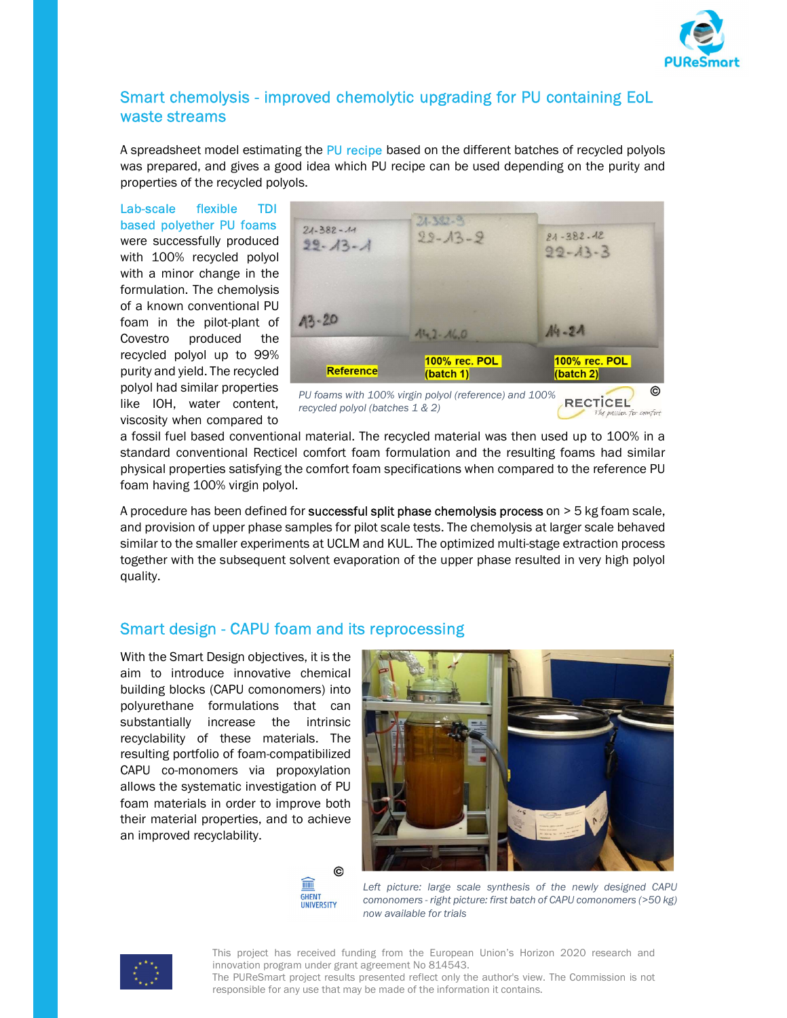

# Smart chemolysis - improved chemolytic upgrading for PU containing EoL waste streams

A spreadsheet model estimating the PU recipe based on the different batches of recycled polyols was prepared, and gives a good idea which PU recipe can be used depending on the purity and properties of the recycled polyols.

Lab-scale flexible TDI based polyether PU foams were successfully produced with 100% recycled polyol with a minor change in the formulation. The chemolysis of a known conventional PU foam in the pilot-plant of Covestro produced the recycled polyol up to 99% purity and yield. The recycled polyol had similar properties like IOH, water content, viscosity when compared to



recycled polyol (batches 1 & 2)

**RECTICEL** 

a fossil fuel based conventional material. The recycled material was then used up to 100% in a standard conventional Recticel comfort foam formulation and the resulting foams had similar physical properties satisfying the comfort foam specifications when compared to the reference PU foam having 100% virgin polyol.

A procedure has been defined for successful split phase chemolysis process on  $>$  5 kg foam scale, and provision of upper phase samples for pilot scale tests. The chemolysis at larger scale behaved similar to the smaller experiments at UCLM and KUL. The optimized multi-stage extraction process together with the subsequent solvent evaporation of the upper phase resulted in very high polyol quality.

# Smart design - CAPU foam and its reprocessing

With the Smart Design objectives, it is the aim to introduce innovative chemical building blocks (CAPU comonomers) into polyurethane formulations that can substantially increase the intrinsic recyclability of these materials. The resulting portfolio of foam-compatibilized CAPU co-monomers via propoxylation allows the systematic investigation of PU foam materials in order to improve both their material properties, and to achieve an improved recyclability.





Left picture: large scale synthesis of the newly designed CAPU comonomers - right picture: first batch of CAPU comonomers (>50 kg) now available for trials



This project has received funding from the European Union's Horizon 2020 research and innovation program under grant agreement No 814543.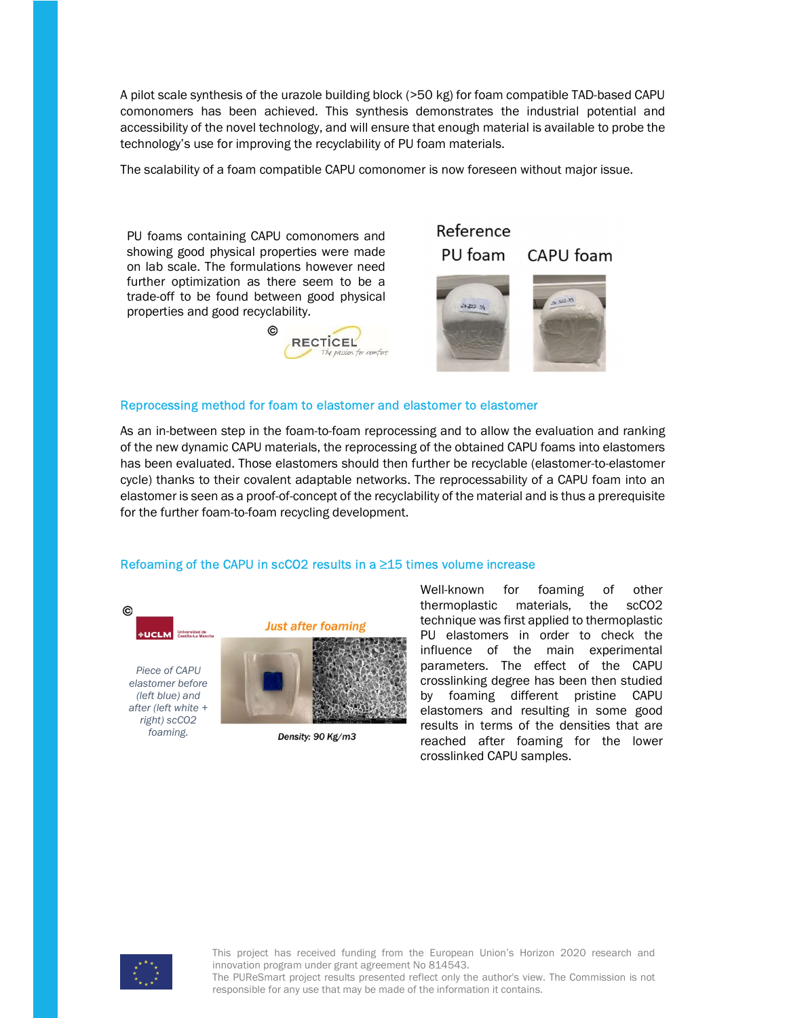A pilot scale synthesis of the urazole building block (>50 kg) for foam compatible TAD-based CAPU comonomers has been achieved. This synthesis demonstrates the industrial potential and accessibility of the novel technology, and will ensure that enough material is available to probe the technology's use for improving the recyclability of PU foam materials.

The scalability of a foam compatible CAPU comonomer is now foreseen without major issue.

PU foams containing CAPU comonomers and showing good physical properties were made on lab scale. The formulations however need further optimization as there seem to be a trade-off to be found between good physical properties and good recyclability.



#### Reference PU foam CAPU foam



#### Reprocessing method for foam to elastomer and elastomer to elastomer

As an in-between step in the foam-to-foam reprocessing and to allow the evaluation and ranking of the new dynamic CAPU materials, the reprocessing of the obtained CAPU foams into elastomers has been evaluated. Those elastomers should then further be recyclable (elastomer-to-elastomer cycle) thanks to their covalent adaptable networks. The reprocessability of a CAPU foam into an elastomer is seen as a proof-of-concept of the recyclability of the material and is thus a prerequisite for the further foam-to-foam recycling development.

#### Refoaming of the CAPU in scCO2 results in a ≥15 times volume increase



Piece of CAPU elastomer before (left blue) and after (left white + right) scCO2 foaming.



Density: 90 Kg/m3

Well-known for foaming of other thermoplastic materials, the scCO2 technique was first applied to thermoplastic PU elastomers in order to check the influence of the main experimental parameters. The effect of the CAPU crosslinking degree has been then studied by foaming different pristine CAPU elastomers and resulting in some good results in terms of the densities that are reached after foaming for the lower crosslinked CAPU samples.



This project has received funding from the European Union's Horizon 2020 research and innovation program under grant agreement No 814543.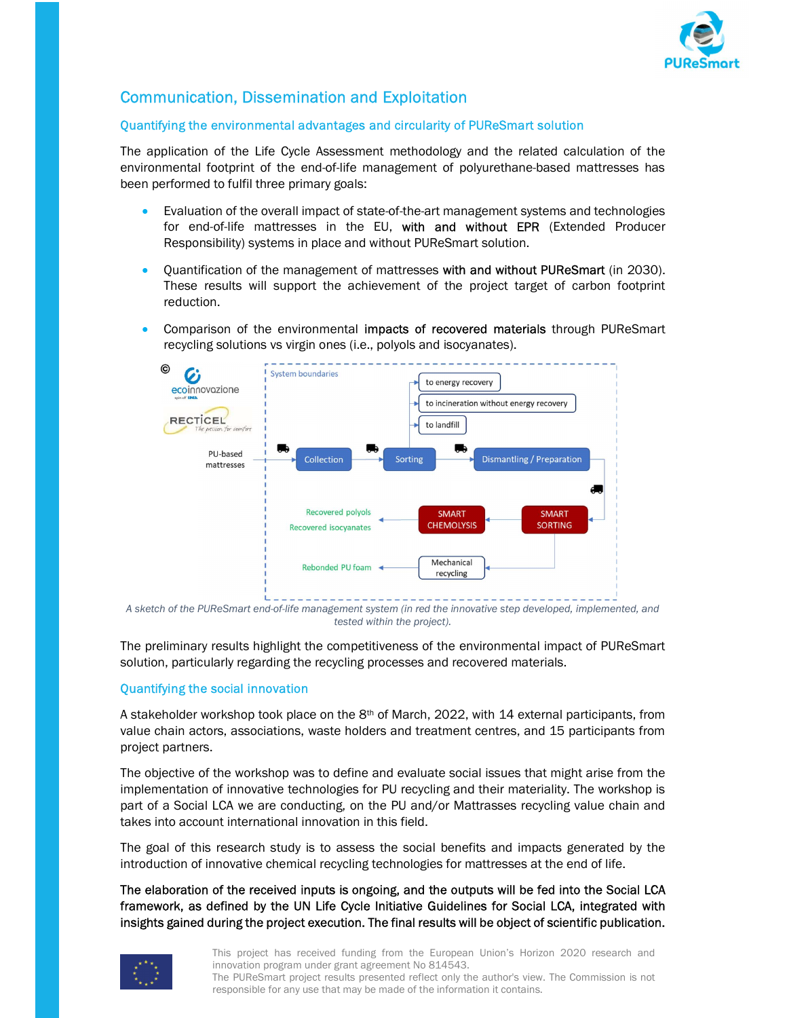

# Communication, Dissemination and Exploitation

## Quantifying the environmental advantages and circularity of PUReSmart solution

The application of the Life Cycle Assessment methodology and the related calculation of the environmental footprint of the end-of-life management of polyurethane-based mattresses has been performed to fulfil three primary goals:

- Evaluation of the overall impact of state-of-the-art management systems and technologies for end-of-life mattresses in the EU, with and without EPR (Extended Producer Responsibility) systems in place and without PUReSmart solution.
- Quantification of the management of mattresses with and without PUReSmart (in 2030). These results will support the achievement of the project target of carbon footprint reduction.
- Comparison of the environmental impacts of recovered materials through PUReSmart recycling solutions vs virgin ones (i.e., polyols and isocyanates).



A sketch of the PUReSmart end-of-life management system (in red the innovative step developed, implemented, and tested within the project).

The preliminary results highlight the competitiveness of the environmental impact of PUReSmart solution, particularly regarding the recycling processes and recovered materials.

## Quantifying the social innovation

A stakeholder workshop took place on the  $8<sup>th</sup>$  of March, 2022, with 14 external participants, from value chain actors, associations, waste holders and treatment centres, and 15 participants from project partners.

The objective of the workshop was to define and evaluate social issues that might arise from the implementation of innovative technologies for PU recycling and their materiality. The workshop is part of a Social LCA we are conducting, on the PU and/or Mattrasses recycling value chain and takes into account international innovation in this field.

The goal of this research study is to assess the social benefits and impacts generated by the introduction of innovative chemical recycling technologies for mattresses at the end of life.

The elaboration of the received inputs is ongoing, and the outputs will be fed into the Social LCA framework, as defined by the UN Life Cycle Initiative Guidelines for Social LCA, integrated with insights gained during the project execution. The final results will be object of scientific publication.



This project has received funding from the European Union's Horizon 2020 research and innovation program under grant agreement No 814543.